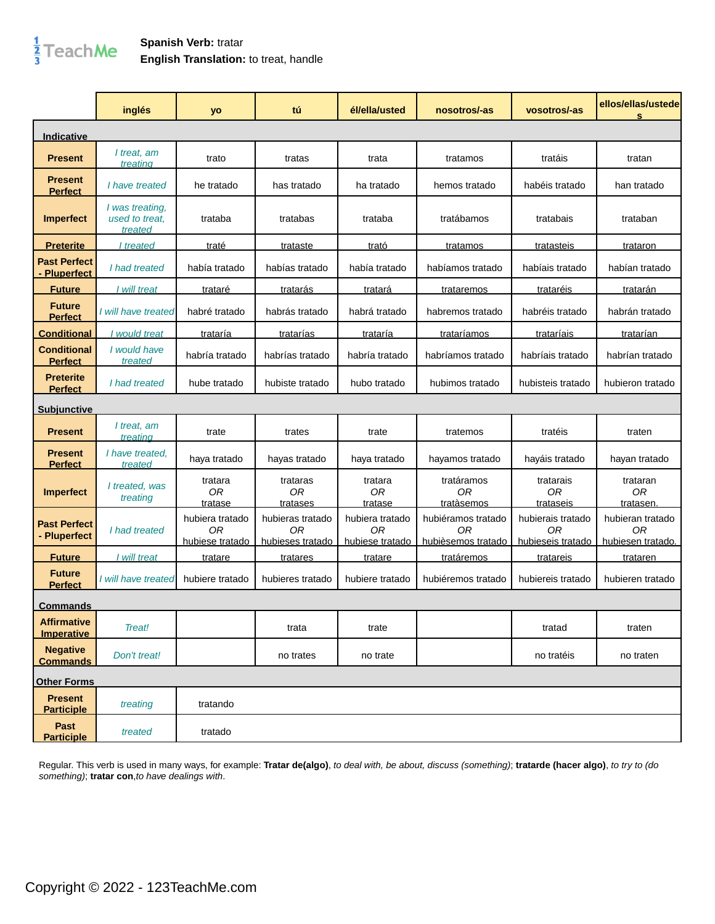## $\frac{1}{3}$ TeachMe

## **Spanish Verb:** tratar **English Translation:** to treat, handle

|                                         | inglés                                       | yo                                       | tú                                         | él/ella/usted                            | nosotros/-as                                   | vosotros/-as                                 | ellos/ellas/ustede<br>s                     |
|-----------------------------------------|----------------------------------------------|------------------------------------------|--------------------------------------------|------------------------------------------|------------------------------------------------|----------------------------------------------|---------------------------------------------|
| Indicative                              |                                              |                                          |                                            |                                          |                                                |                                              |                                             |
| <b>Present</b>                          | I treat, am<br>treating                      | trato                                    | tratas                                     | trata                                    | tratamos                                       | tratáis                                      | tratan                                      |
| <b>Present</b><br><b>Perfect</b>        | I have treated                               | he tratado                               | has tratado                                | ha tratado                               | hemos tratado                                  | habéis tratado                               | han tratado                                 |
| <b>Imperfect</b>                        | I was treating,<br>used to treat.<br>treated | trataba                                  | tratabas                                   | trataba                                  | tratábamos                                     | tratabais                                    | trataban                                    |
| <b>Preterite</b>                        | treated                                      | <u>traté</u>                             | trataste                                   | <u>trató</u>                             | <u>tratamos</u>                                | tratasteis                                   | trataron                                    |
| <b>Past Perfect</b><br>- Pluperfect     | I had treated                                | había tratado                            | habías tratado                             | había tratado                            | habíamos tratado                               | habíais tratado                              | habían tratado                              |
| <b>Future</b>                           | I will treat                                 | <u>trataré</u>                           | <u>tratarás</u>                            | <u>tratará</u>                           | <b>trataremos</b>                              | <u>trataréis</u>                             | <u>tratarán</u>                             |
| <b>Future</b><br><b>Perfect</b>         | I will have treated                          | habré tratado                            | habrás tratado                             | habrá tratado                            | habremos tratado                               | habréis tratado                              | habrán tratado                              |
| <b>Conditional</b>                      | I would treat                                | trataría                                 | tratarías                                  | trataría                                 | trataríamos                                    | <b>trataríais</b>                            | tratarían                                   |
| <b>Conditional</b><br><b>Perfect</b>    | I would have<br>treated                      | habría tratado                           | habrías tratado                            | habría tratado                           | habríamos tratado                              | habríais tratado                             | habrían tratado                             |
| <b>Preterite</b><br><b>Perfect</b>      | I had treated                                | hube tratado                             | hubiste tratado                            | hubo tratado                             | hubimos tratado                                | hubisteis tratado                            | hubieron tratado                            |
| <b>Subjunctive</b>                      |                                              |                                          |                                            |                                          |                                                |                                              |                                             |
| <b>Present</b>                          | I treat, am<br>treating                      | trate                                    | trates                                     | trate                                    | tratemos                                       | tratéis                                      | traten                                      |
| <b>Present</b><br><b>Perfect</b>        | I have treated,<br>treated                   | haya tratado                             | hayas tratado                              | haya tratado                             | hayamos tratado                                | hayáis tratado                               | hayan tratado                               |
| <b>Imperfect</b>                        | I treated, was<br>treating                   | tratara<br>0R<br>tratase                 | trataras<br>0R<br>tratases                 | tratara<br>0 <sub>R</sub><br>tratase     | tratáramos<br>0 <sub>R</sub><br>tratàsemos     | tratarais<br>0 <sub>R</sub><br>trataseis     | trataran<br>0R<br>tratasen                  |
| <b>Past Perfect</b><br>- Pluperfect     | I had treated                                | hubiera tratado<br>0R<br>hubiese tratado | hubieras tratado<br>ΟR<br>hubieses tratado | hubiera tratado<br>0R<br>hubiese tratado | hubiéramos tratado<br>0R<br>hubièsemos tratado | hubierais tratado<br>0R<br>hubieseis tratado | hubieran tratado<br>0R<br>hubiesen tratado. |
| <b>Future</b>                           | I will treat                                 | tratare                                  | tratares                                   | tratare                                  | tratáremos                                     | tratareis                                    | trataren                                    |
| <b>Future</b><br><b>Perfect</b>         | I will have treated                          | hubiere tratado                          | hubieres tratado                           | hubiere tratado                          | hubiéremos tratado                             | hubiereis tratado                            | hubieren tratado                            |
| <b>Commands</b>                         |                                              |                                          |                                            |                                          |                                                |                                              |                                             |
| <b>Affirmative</b><br><b>Imperative</b> | Treat!                                       |                                          | trata                                      | trate                                    |                                                | tratad                                       | traten                                      |
| <b>Negative</b><br><b>Commands</b>      | Don't treat!                                 |                                          | no trates                                  | no trate                                 |                                                | no tratéis                                   | no traten                                   |
| <b>Other Forms</b>                      |                                              |                                          |                                            |                                          |                                                |                                              |                                             |
| <b>Present</b><br><b>Participle</b>     | treating                                     | tratando                                 |                                            |                                          |                                                |                                              |                                             |
| Past<br><b>Participle</b>               | treated                                      | tratado                                  |                                            |                                          |                                                |                                              |                                             |

Regular. This verb is used in many ways, for example: **Tratar de(algo)**, to deal with, be about, discuss (something); **tratarde (hacer algo)**, to try to (do something); **tratar con**,to have dealings with.